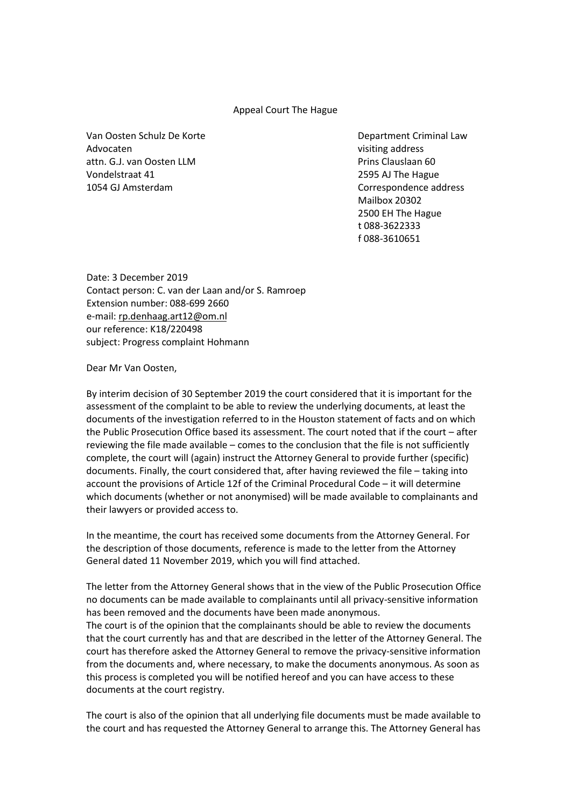## Appeal Court The Hague

Van Oosten Schulz De Korte **Department Criminal Law** Advocaten visiting address attn. G.J. van Oosten LLM Prins Clauslaan 60 Vondelstraat 41 2595 AJ The Hague 1054 GJ Amsterdam Correspondence address

Mailbox 20302 2500 EH The Hague t 088-3622333 f 088-3610651

Date: 3 December 2019 Contact person: C. van der Laan and/or S. Ramroep Extension number: 088-699 2660 e-mail[: rp.denhaag.art12@om.nl](mailto:rp.denhaag.art12@om.nl) our reference: K18/220498 subject: Progress complaint Hohmann

Dear Mr Van Oosten,

By interim decision of 30 September 2019 the court considered that it is important for the assessment of the complaint to be able to review the underlying documents, at least the documents of the investigation referred to in the Houston statement of facts and on which the Public Prosecution Office based its assessment. The court noted that if the court – after reviewing the file made available – comes to the conclusion that the file is not sufficiently complete, the court will (again) instruct the Attorney General to provide further (specific) documents. Finally, the court considered that, after having reviewed the file – taking into account the provisions of Article 12f of the Criminal Procedural Code – it will determine which documents (whether or not anonymised) will be made available to complainants and their lawyers or provided access to.

In the meantime, the court has received some documents from the Attorney General. For the description of those documents, reference is made to the letter from the Attorney General dated 11 November 2019, which you will find attached.

The letter from the Attorney General shows that in the view of the Public Prosecution Office no documents can be made available to complainants until all privacy-sensitive information has been removed and the documents have been made anonymous.

The court is of the opinion that the complainants should be able to review the documents that the court currently has and that are described in the letter of the Attorney General. The court has therefore asked the Attorney General to remove the privacy-sensitive information from the documents and, where necessary, to make the documents anonymous. As soon as this process is completed you will be notified hereof and you can have access to these documents at the court registry.

The court is also of the opinion that all underlying file documents must be made available to the court and has requested the Attorney General to arrange this. The Attorney General has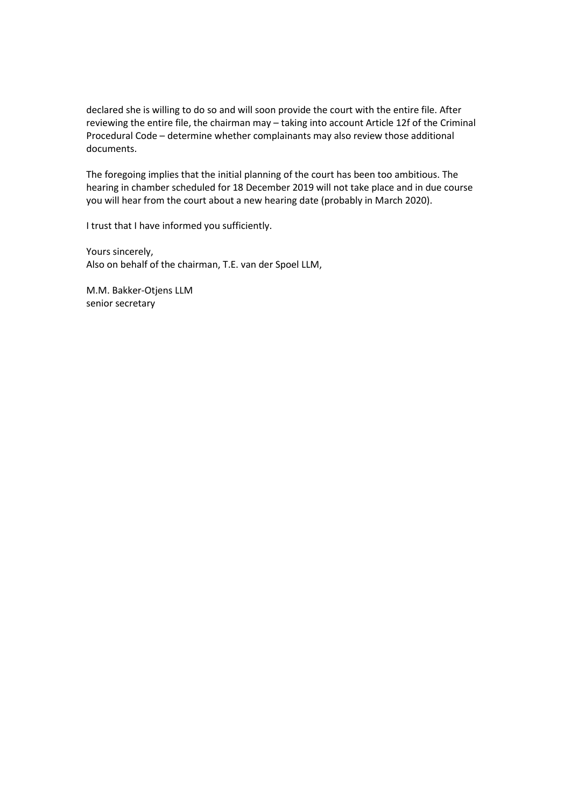declared she is willing to do so and will soon provide the court with the entire file. After reviewing the entire file, the chairman may – taking into account Article 12f of the Criminal Procedural Code – determine whether complainants may also review those additional documents.

The foregoing implies that the initial planning of the court has been too ambitious. The hearing in chamber scheduled for 18 December 2019 will not take place and in due course you will hear from the court about a new hearing date (probably in March 2020).

I trust that I have informed you sufficiently.

Yours sincerely, Also on behalf of the chairman, T.E. van der Spoel LLM,

M.M. Bakker-Otjens LLM senior secretary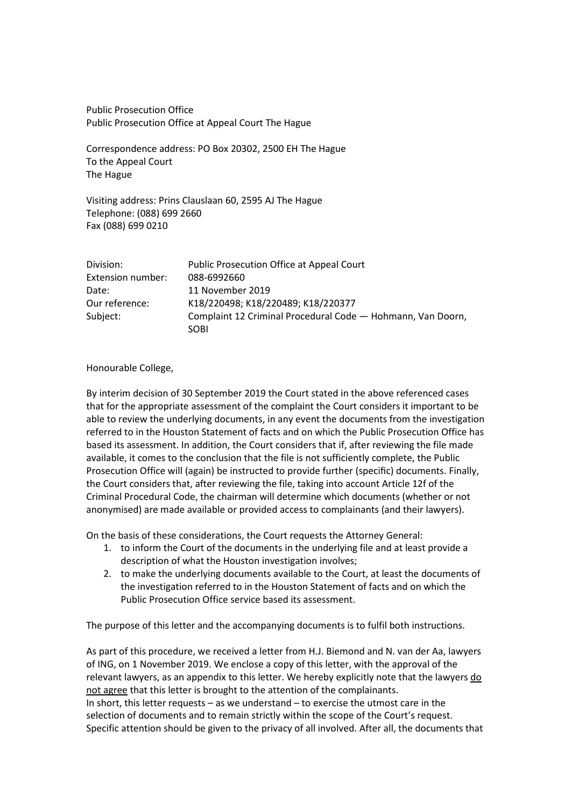Public Prosecution Office Public Prosecution Office at Appeal Court The Hague

Correspondence address: PO Box 20302, 2500 EH The Hague To the Appeal Court The Hague

Visiting address: Prins Clauslaan 60, 2595 AJ The Hague Telephone: (088) 699 2660 Fax (088) 699 0210

| Division:         | Public Prosecution Office at Appeal Court                           |
|-------------------|---------------------------------------------------------------------|
| Extension number: | 088-6992660                                                         |
| Date:             | 11 November 2019                                                    |
| Our reference:    | K18/220498; K18/220489; K18/220377                                  |
| Subject:          | Complaint 12 Criminal Procedural Code - Hohmann, Van Doorn,<br>SOBI |

## Honourable College,

By interim decision of 30 September 2019 the Court stated in the above referenced cases that for the appropriate assessment of the complaint the Court considers it important to be able to review the underlying documents, in any event the documents from the investigation referred to in the Houston Statement of facts and on which the Public Prosecution Office has based its assessment. In addition, the Court considers that if, after reviewing the file made available, it comes to the conclusion that the file is not sufficiently complete, the Public Prosecution Office will (again) be instructed to provide further (specific) documents. Finally, the Court considers that, after reviewing the file, taking into account Article 12f of the Criminal Procedural Code, the chairman will determine which documents (whether or not anonymised) are made available or provided access to complainants (and their lawyers).

On the basis of these considerations, the Court requests the Attorney General:

- 1. to inform the Court of the documents in the underlying file and at least provide a description of what the Houston investigation involves;
- 2. to make the underlying documents available to the Court, at least the documents of the investigation referred to in the Houston Statement of facts and on which the Public Prosecution Office service based its assessment.

The purpose of this letter and the accompanying documents is to fulfil both instructions.

As part of this procedure, we received a letter from H.J. Biemond and N. van der Aa, lawyers of ING, on 1 November 2019. We enclose a copy of this letter, with the approval of the relevant lawyers, as an appendix to this letter. We hereby explicitly note that the lawyers do not agree that this letter is brought to the attention of the complainants. In short, this letter requests – as we understand – to exercise the utmost care in the selection of documents and to remain strictly within the scope of the Court's request. Specific attention should be given to the privacy of all involved. After all, the documents that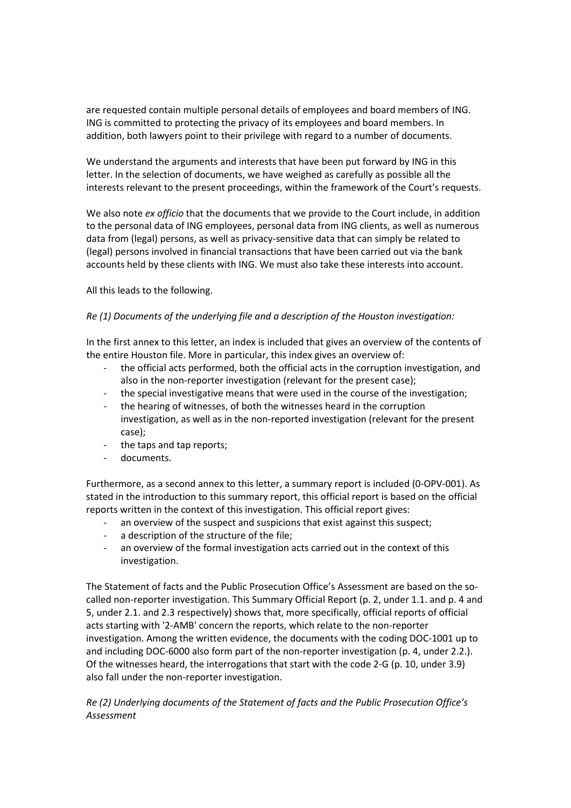are requested contain multiple personal details of employees and board members of ING. ING is committed to protecting the privacy of its employees and board members. In addition, both lawyers point to their privilege with regard to a number of documents.

We understand the arguments and interests that have been put forward by ING in this letter. In the selection of documents, we have weighed as carefully as possible all the interests relevant to the present proceedings, within the framework of the Court's requests.

We also note *ex officio* that the documents that we provide to the Court include, in addition to the personal data of ING employees, personal data from ING clients, as well as numerous data from (legal) persons, as well as privacy-sensitive data that can simply be related to (legal) persons involved in financial transactions that have been carried out via the bank accounts held by these clients with ING. We must also take these interests into account.

All this leads to the following.

## *Re (1) Documents of the underlying file and a description of the Houston investigation:*

In the first annex to this letter, an index is included that gives an overview of the contents of the entire Houston file. More in particular, this index gives an overview of:

- the official acts performed, both the official acts in the corruption investigation, and also in the non-reporter investigation (relevant for the present case);
- the special investigative means that were used in the course of the investigation;
- the hearing of witnesses, of both the witnesses heard in the corruption investigation, as well as in the non-reported investigation (relevant for the present case);
- the taps and tap reports;
- documents.

Furthermore, as a second annex to this letter, a summary report is included (0-OPV-001). As stated in the introduction to this summary report, this official report is based on the official reports written in the context of this investigation. This official report gives:

- an overview of the suspect and suspicions that exist against this suspect;
- a description of the structure of the file;
- an overview of the formal investigation acts carried out in the context of this investigation.

The Statement of facts and the Public Prosecution Office's Assessment are based on the socalled non-reporter investigation. This Summary Official Report (p. 2, under 1.1. and p. 4 and 5, under 2.1. and 2.3 respectively) shows that, more specifically, official reports of official acts starting with '2-AMB' concern the reports, which relate to the non-reporter investigation. Among the written evidence, the documents with the coding DOC-1001 up to and including DOC-6000 also form part of the non-reporter investigation (p. 4, under 2.2.). Of the witnesses heard, the interrogations that start with the code 2-G (p. 10, under 3.9) also fall under the non-reporter investigation.

*Re (2) Underlying documents of the Statement of facts and the Public Prosecution Office's Assessment*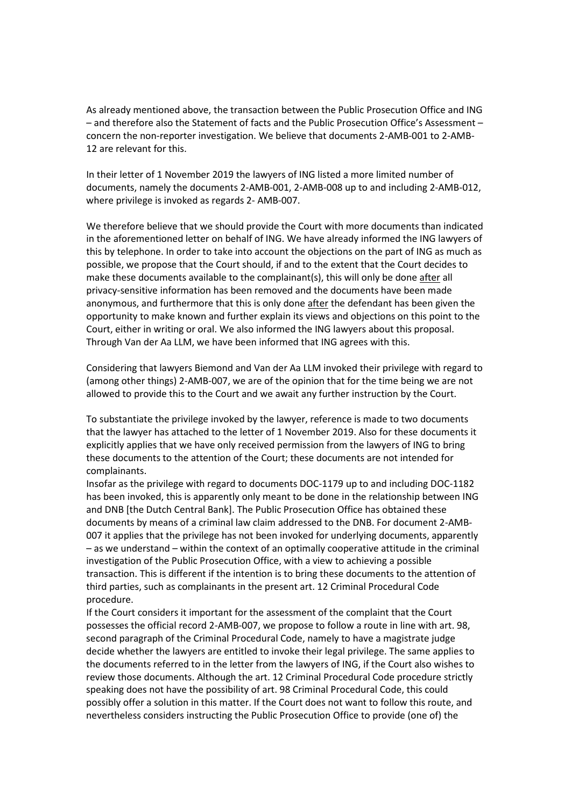As already mentioned above, the transaction between the Public Prosecution Office and ING – and therefore also the Statement of facts and the Public Prosecution Office's Assessment – concern the non-reporter investigation. We believe that documents 2-AMB-001 to 2-AMB-12 are relevant for this.

In their letter of 1 November 2019 the lawyers of ING listed a more limited number of documents, namely the documents 2-AMB-001, 2-AMB-008 up to and including 2-AMB-012, where privilege is invoked as regards 2- AMB-007.

We therefore believe that we should provide the Court with more documents than indicated in the aforementioned letter on behalf of ING. We have already informed the ING lawyers of this by telephone. In order to take into account the objections on the part of ING as much as possible, we propose that the Court should, if and to the extent that the Court decides to make these documents available to the complainant(s), this will only be done after all privacy-sensitive information has been removed and the documents have been made anonymous, and furthermore that this is only done after the defendant has been given the opportunity to make known and further explain its views and objections on this point to the Court, either in writing or oral. We also informed the ING lawyers about this proposal. Through Van der Aa LLM, we have been informed that ING agrees with this.

Considering that lawyers Biemond and Van der Aa LLM invoked their privilege with regard to (among other things) 2-AMB-007, we are of the opinion that for the time being we are not allowed to provide this to the Court and we await any further instruction by the Court.

To substantiate the privilege invoked by the lawyer, reference is made to two documents that the lawyer has attached to the letter of 1 November 2019. Also for these documents it explicitly applies that we have only received permission from the lawyers of ING to bring these documents to the attention of the Court; these documents are not intended for complainants.

Insofar as the privilege with regard to documents DOC-1179 up to and including DOC-1182 has been invoked, this is apparently only meant to be done in the relationship between ING and DNB [the Dutch Central Bank]. The Public Prosecution Office has obtained these documents by means of a criminal law claim addressed to the DNB. For document 2-AMB-007 it applies that the privilege has not been invoked for underlying documents, apparently – as we understand – within the context of an optimally cooperative attitude in the criminal investigation of the Public Prosecution Office, with a view to achieving a possible transaction. This is different if the intention is to bring these documents to the attention of third parties, such as complainants in the present art. 12 Criminal Procedural Code procedure.

If the Court considers it important for the assessment of the complaint that the Court possesses the official record 2-AMB-007, we propose to follow a route in line with art. 98, second paragraph of the Criminal Procedural Code, namely to have a magistrate judge decide whether the lawyers are entitled to invoke their legal privilege. The same applies to the documents referred to in the letter from the lawyers of ING, if the Court also wishes to review those documents. Although the art. 12 Criminal Procedural Code procedure strictly speaking does not have the possibility of art. 98 Criminal Procedural Code, this could possibly offer a solution in this matter. If the Court does not want to follow this route, and nevertheless considers instructing the Public Prosecution Office to provide (one of) the